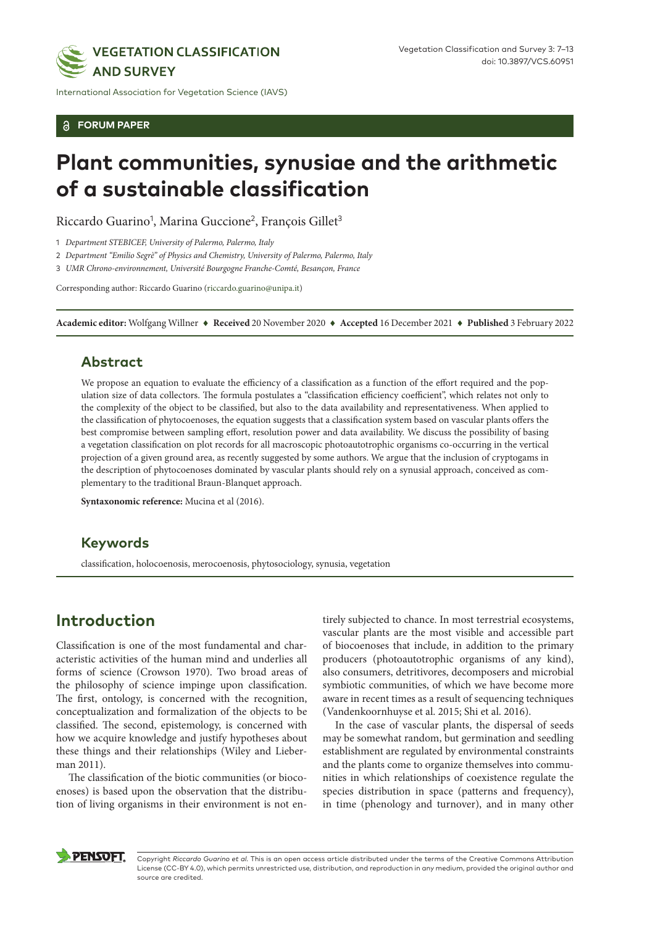

International Association for Vegetation Science (IAVS)

**FORUM PAPER**

# **Plant communities, synusiae and the arithmetic of a sustainable classification**

Riccardo Guarino<sup>1</sup>, Marina Guccione<sup>2</sup>, François Gillet<sup>3</sup>

1 *Department STEBICEF, University of Palermo, Palermo, Italy*

2 *Department "Emilio Segrè" of Physics and Chemistry, University of Palermo, Palermo, Italy*

3 *UMR Chrono-environnement, Université Bourgogne Franche-Comté, Besançon, France*

Corresponding author: Riccardo Guarino [\(riccardo.guarino@unipa.it](mailto:riccardo.guarino@unipa.it))

**Academic editor:** Wolfgang Willner ♦ **Received** 20 November 2020 ♦ **Accepted** 16 December 2021 ♦ **Published** 3 February 2022

#### **Abstract**

We propose an equation to evaluate the efficiency of a classification as a function of the effort required and the population size of data collectors. The formula postulates a "classification efficiency coefficient", which relates not only to the complexity of the object to be classified, but also to the data availability and representativeness. When applied to the classification of phytocoenoses, the equation suggests that a classification system based on vascular plants offers the best compromise between sampling effort, resolution power and data availability. We discuss the possibility of basing a vegetation classification on plot records for all macroscopic photoautotrophic organisms co-occurring in the vertical projection of a given ground area, as recently suggested by some authors. We argue that the inclusion of cryptogams in the description of phytocoenoses dominated by vascular plants should rely on a synusial approach, conceived as complementary to the traditional Braun-Blanquet approach.

**Syntaxonomic reference:** Mucina et al (2016).

#### **Keywords**

classification, holocoenosis, merocoenosis, phytosociology, synusia, vegetation

## **Introduction**

Classification is one of the most fundamental and characteristic activities of the human mind and underlies all forms of science (Crowson 1970). Two broad areas of the philosophy of science impinge upon classification. The first, ontology, is concerned with the recognition, conceptualization and formalization of the objects to be classified. The second, epistemology, is concerned with how we acquire knowledge and justify hypotheses about these things and their relationships (Wiley and Lieberman 2011).

The classification of the biotic communities (or biocoenoses) is based upon the observation that the distribution of living organisms in their environment is not en-

tirely subjected to chance. In most terrestrial ecosystems, vascular plants are the most visible and accessible part of biocoenoses that include, in addition to the primary producers (photoautotrophic organisms of any kind), also consumers, detritivores, decomposers and microbial symbiotic communities, of which we have become more aware in recent times as a result of sequencing techniques (Vandenkoornhuyse et al. 2015; Shi et al. 2016).

In the case of vascular plants, the dispersal of seeds may be somewhat random, but germination and seedling establishment are regulated by environmental constraints and the plants come to organize themselves into communities in which relationships of coexistence regulate the species distribution in space (patterns and frequency), in time (phenology and turnover), and in many other



Copyright *Riccardo Guarino et al.* This is an open access article distributed under the terms of the Creative Commons Attribution License (CC-BY 4.0), which permits unrestricted use, distribution, and reproduction in any medium, provided the original author and source are credited.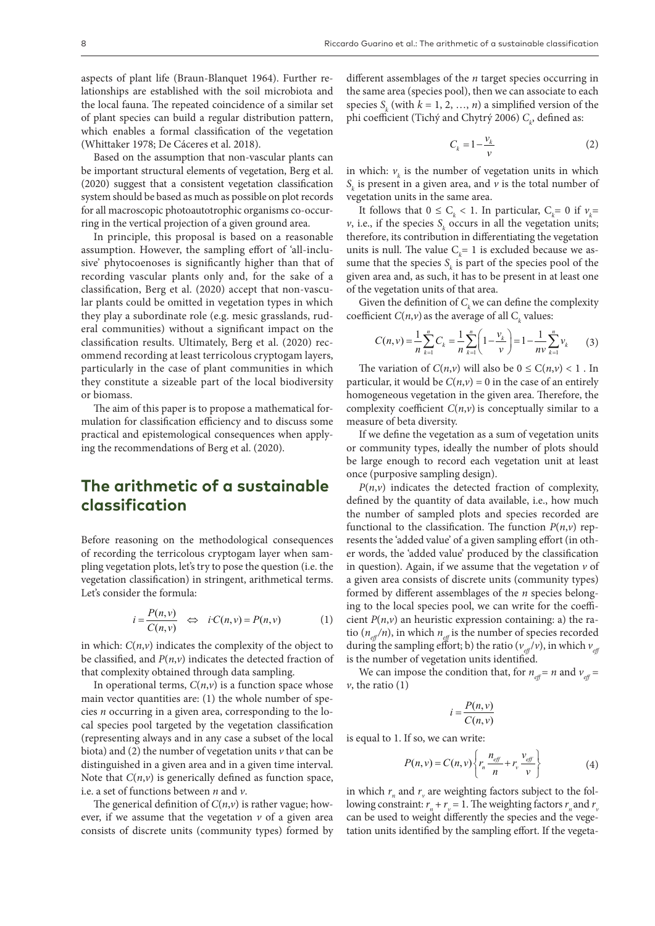aspects of plant life (Braun-Blanquet 1964). Further relationships are established with the soil microbiota and the local fauna. The repeated coincidence of a similar set of plant species can build a regular distribution pattern, which enables a formal classification of the vegetation (Whittaker 1978; De Cáceres et al. 2018).

Based on the assumption that non-vascular plants can be important structural elements of vegetation, Berg et al. (2020) suggest that a consistent vegetation classification system should be based as much as possible on plot records for all macroscopic photoautotrophic organisms co-occurring in the vertical projection of a given ground area.

In principle, this proposal is based on a reasonable assumption. However, the sampling effort of 'all-inclusive' phytocoenoses is significantly higher than that of recording vascular plants only and, for the sake of a classification, Berg et al. (2020) accept that non-vascular plants could be omitted in vegetation types in which they play a subordinate role (e.g. mesic grasslands, ruderal communities) without a significant impact on the classification results. Ultimately, Berg et al. (2020) recommend recording at least terricolous cryptogam layers, particularly in the case of plant communities in which they constitute a sizeable part of the local biodiversity or biomass.

The aim of this paper is to propose a mathematical formulation for classification efficiency and to discuss some practical and epistemological consequences when applying the recommendations of Berg et al. (2020).

## **The arithmetic of a sustainable classification**

Before reasoning on the methodological consequences of recording the terricolous cryptogam layer when sampling vegetation plots, let's try to pose the question (i.e. the vegetation classification) in stringent, arithmetical terms. Let's consider the formula:

$$
i = \frac{P(n, v)}{C(n, v)} \quad \Leftrightarrow \quad i \cdot C(n, v) = P(n, v) \tag{1}
$$

in which: *C*(*n*,*v*) indicates the complexity of the object to be classified, and *P*(*n*,*v*) indicates the detected fraction of that complexity obtained through data sampling.

In operational terms,  $C(n, v)$  is a function space whose main vector quantities are: (1) the whole number of species *n* occurring in a given area, corresponding to the local species pool targeted by the vegetation classification (representing always and in any case a subset of the local biota) and (2) the number of vegetation units *v* that can be distinguished in a given area and in a given time interval. Note that  $C(n, v)$  is generically defined as function space, i.e. a set of functions between *n* and *v*.

The generical definition of  $C(n,v)$  is rather vague; however, if we assume that the vegetation  $\nu$  of a given area consists of discrete units (community types) formed by different assemblages of the *n* target species occurring in the same area (species pool), then we can associate to each species  $S_k$  (with  $k = 1, 2, ..., n$ ) a simplified version of the phi coefficient (Tichý and Chytrý 2006)  $C_{\!k}$ , defined as:

$$
C_k = 1 - \frac{v_k}{v} \tag{2}
$$

in which:  $v_k$  is the number of vegetation units in which  $S_k$  is present in a given area, and  $\nu$  is the total number of vegetation units in the same area.

It follows that  $0 \leq C_k < 1$ . In particular,  $C_k = 0$  if  $v_k =$  $\nu$ , i.e., if the species  $S_k$  occurs in all the vegetation units; therefore, its contribution in differentiating the vegetation units is null. The value  $C_k = 1$  is excluded because we assume that the species  $S_k$  is part of the species pool of the given area and, as such, it has to be present in at least one of the vegetation units of that area.

Given the definition of  $C_k$  we can define the complexity coefficient  $C(n,v)$  as the average of all  $C_k$  values:

$$
C(n,v) = \frac{1}{n} \sum_{k=1}^{n} C_k = \frac{1}{n} \sum_{k=1}^{n} \left( 1 - \frac{v_k}{v} \right) = 1 - \frac{1}{n v} \sum_{k=1}^{n} v_k \tag{3}
$$

The variation of  $C(n,v)$  will also be  $0 \le C(n,v) < 1$ . In particular, it would be  $C(n, v) = 0$  in the case of an entirely homogeneous vegetation in the given area. Therefore, the complexity coefficient  $C(n, v)$  is conceptually similar to a measure of beta diversity.

If we define the vegetation as a sum of vegetation units or community types, ideally the number of plots should be large enough to record each vegetation unit at least once (purposive sampling design).

 $P(n,v)$  indicates the detected fraction of complexity, defined by the quantity of data available, i.e., how much the number of sampled plots and species recorded are functional to the classification. The function  $P(n, v)$  represents the 'added value' of a given sampling effort (in other words, the 'added value' produced by the classification in question). Again, if we assume that the vegetation  $\nu$  of a given area consists of discrete units (community types) formed by different assemblages of the *n* species belonging to the local species pool, we can write for the coefficient  $P(n, v)$  an heuristic expression containing: a) the ratio  $(n_{\alpha} / n)$ , in which  $n_{\alpha}$  is the number of species recorded during the sampling effort; b) the ratio ( $v_{\text{eff}}/v$ ), in which  $v_{\text{eff}}$ is the number of vegetation units identified.

We can impose the condition that, for  $n_{\text{eff}} = n$  and  $v_{\text{eff}} =$  $\nu$ , the ratio (1)

$$
i = \frac{P(n, v)}{C(n, v)}
$$

is equal to 1. If so, we can write:

$$
P(n, v) = C(n, v) \left\{ r_n \frac{n_{\text{eff}}}{n} + r_v \frac{v_{\text{eff}}}{v} \right\} \tag{4}
$$

in which  $r_n$  and  $r_v$  are weighting factors subject to the following constraint:  $r_n + r_v = 1$ . The weighting factors  $r_n$  and  $r_v$ can be used to weight differently the species and the vegetation units identified by the sampling effort. If the vegeta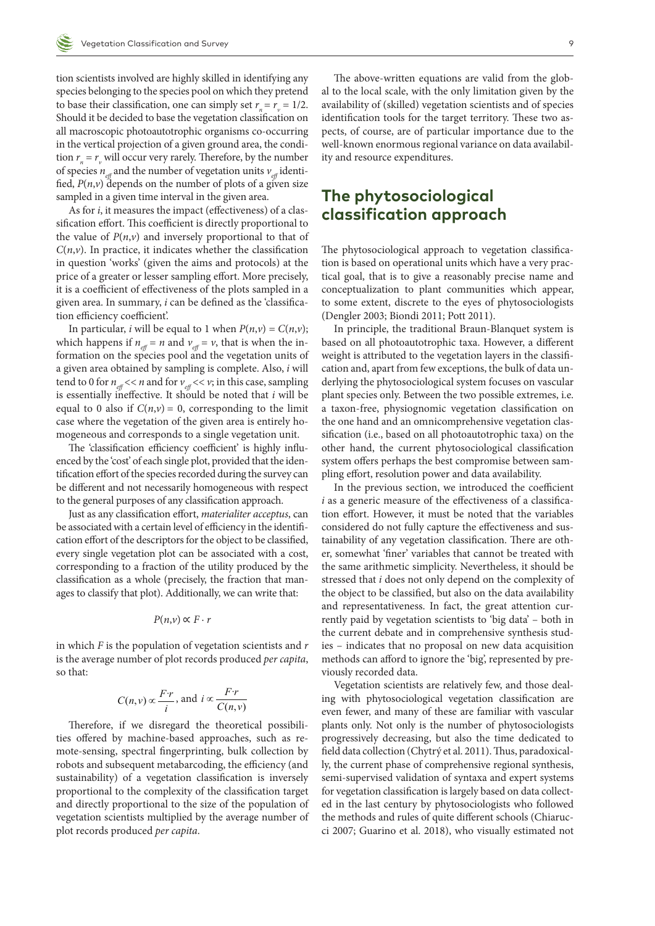tion scientists involved are highly skilled in identifying any species belonging to the species pool on which they pretend to base their classification, one can simply set  $r_n = r_v = 1/2$ . Should it be decided to base the vegetation classification on all macroscopic photoautotrophic organisms co-occurring in the vertical projection of a given ground area, the condition  $r_n = r_\nu$  will occur very rarely. Therefore, by the number of species  $n_{\text{eff}}$  and the number of vegetation units  $v_{\text{eff}}$  identified,  $P(n, v)$  depends on the number of plots of a given size sampled in a given time interval in the given area.

As for *i*, it measures the impact (effectiveness) of a classification effort. This coefficient is directly proportional to the value of  $P(n, v)$  and inversely proportional to that of  $C(n, v)$ . In practice, it indicates whether the classification in question 'works' (given the aims and protocols) at the price of a greater or lesser sampling effort. More precisely, it is a coefficient of effectiveness of the plots sampled in a given area. In summary, *i* can be defined as the 'classification efficiency coefficient'.

In particular, *i* will be equal to 1 when  $P(n, v) = C(n, v)$ ; which happens if  $n_{\text{eff}} = n$  and  $v_{\text{eff}} = v$ , that is when the information on the species pool and the vegetation units of a given area obtained by sampling is complete. Also, *i* will tend to 0 for  $n_{\text{eff}} \ll n$  and for  $v_{\text{eff}} \ll v$ ; in this case, sampling is essentially ineffective. It should be noted that *i* will be equal to 0 also if  $C(n, v) = 0$ , corresponding to the limit case where the vegetation of the given area is entirely homogeneous and corresponds to a single vegetation unit.

The 'classification efficiency coefficient' is highly influenced by the 'cost' of each single plot, provided that the identification effort of the species recorded during the survey can be different and not necessarily homogeneous with respect to the general purposes of any classification approach.

Just as any classification effort, *materialiter acceptus*, can be associated with a certain level of efficiency in the identification effort of the descriptors for the object to be classified, every single vegetation plot can be associated with a cost, corresponding to a fraction of the utility produced by the classification as a whole (precisely, the fraction that manages to classify that plot). Additionally, we can write that:

$$
P(n,\nu) \propto F \cdot r
$$

in which *F* is the population of vegetation scientists and *r* is the average number of plot records produced *per capita*, so that:

$$
C(n, v) \propto \frac{F \cdot r}{i}
$$
, and  $i \propto \frac{F \cdot r}{C(n, v)}$ 

Therefore, if we disregard the theoretical possibilities offered by machine-based approaches, such as remote-sensing, spectral fingerprinting, bulk collection by robots and subsequent metabarcoding, the efficiency (and sustainability) of a vegetation classification is inversely proportional to the complexity of the classification target and directly proportional to the size of the population of vegetation scientists multiplied by the average number of plot records produced *per capita*.

The above-written equations are valid from the global to the local scale, with the only limitation given by the availability of (skilled) vegetation scientists and of species identification tools for the target territory. These two aspects, of course, are of particular importance due to the well-known enormous regional variance on data availability and resource expenditures.

## **The phytosociological classification approach**

The phytosociological approach to vegetation classification is based on operational units which have a very practical goal, that is to give a reasonably precise name and conceptualization to plant communities which appear, to some extent, discrete to the eyes of phytosociologists (Dengler 2003; Biondi 2011; Pott 2011).

In principle, the traditional Braun-Blanquet system is based on all photoautotrophic taxa. However, a different weight is attributed to the vegetation layers in the classification and, apart from few exceptions, the bulk of data underlying the phytosociological system focuses on vascular plant species only. Between the two possible extremes, i.e. a taxon-free, physiognomic vegetation classification on the one hand and an omnicomprehensive vegetation classification (i.e., based on all photoautotrophic taxa) on the other hand, the current phytosociological classification system offers perhaps the best compromise between sampling effort, resolution power and data availability.

In the previous section, we introduced the coefficient *i* as a generic measure of the effectiveness of a classification effort. However, it must be noted that the variables considered do not fully capture the effectiveness and sustainability of any vegetation classification. There are other, somewhat 'finer' variables that cannot be treated with the same arithmetic simplicity. Nevertheless, it should be stressed that *i* does not only depend on the complexity of the object to be classified, but also on the data availability and representativeness. In fact, the great attention currently paid by vegetation scientists to 'big data' – both in the current debate and in comprehensive synthesis studies – indicates that no proposal on new data acquisition methods can afford to ignore the 'big', represented by previously recorded data.

Vegetation scientists are relatively few, and those dealing with phytosociological vegetation classification are even fewer, and many of these are familiar with vascular plants only. Not only is the number of phytosociologists progressively decreasing, but also the time dedicated to field data collection (Chytrý et al. 2011). Thus, paradoxically, the current phase of comprehensive regional synthesis, semi-supervised validation of syntaxa and expert systems for vegetation classification is largely based on data collected in the last century by phytosociologists who followed the methods and rules of quite different schools (Chiarucci 2007; Guarino et al. 2018), who visually estimated not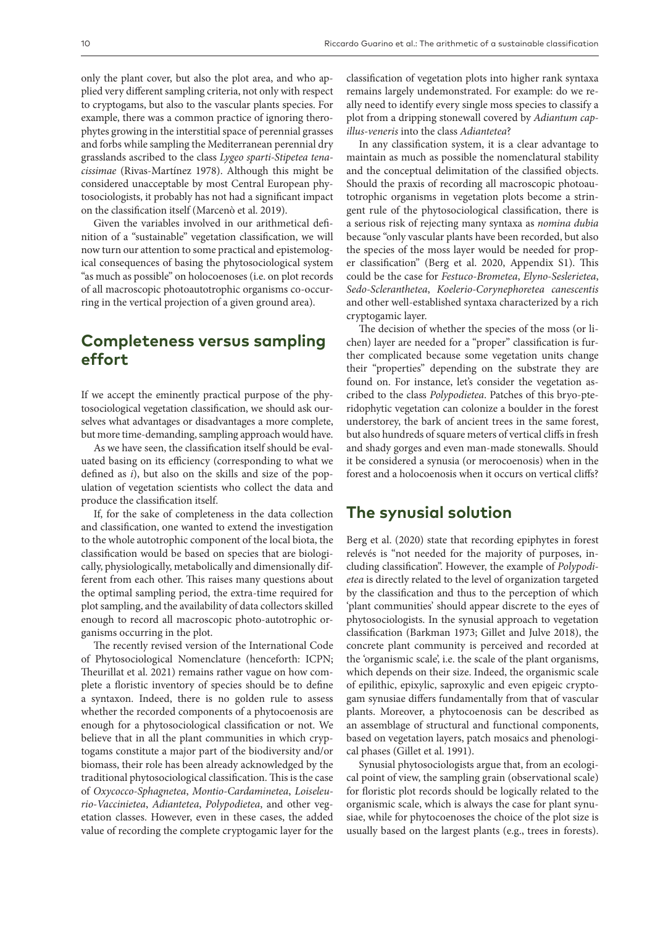only the plant cover, but also the plot area, and who applied very different sampling criteria, not only with respect to cryptogams, but also to the vascular plants species. For example, there was a common practice of ignoring therophytes growing in the interstitial space of perennial grasses and forbs while sampling the Mediterranean perennial dry grasslands ascribed to the class *Lygeo sparti-Stipetea tenacissimae* (Rivas-Martínez 1978). Although this might be considered unacceptable by most Central European phytosociologists, it probably has not had a significant impact on the classification itself (Marcenò et al. 2019).

Given the variables involved in our arithmetical definition of a "sustainable" vegetation classification, we will now turn our attention to some practical and epistemological consequences of basing the phytosociological system "as much as possible" on holocoenoses (i.e. on plot records of all macroscopic photoautotrophic organisms co-occurring in the vertical projection of a given ground area).

## **Completeness versus sampling effort**

If we accept the eminently practical purpose of the phytosociological vegetation classification, we should ask ourselves what advantages or disadvantages a more complete, but more time-demanding, sampling approach would have.

As we have seen, the classification itself should be evaluated basing on its efficiency (corresponding to what we defined as *i*), but also on the skills and size of the population of vegetation scientists who collect the data and produce the classification itself.

If, for the sake of completeness in the data collection and classification, one wanted to extend the investigation to the whole autotrophic component of the local biota, the classification would be based on species that are biologically, physiologically, metabolically and dimensionally different from each other. This raises many questions about the optimal sampling period, the extra-time required for plot sampling, and the availability of data collectors skilled enough to record all macroscopic photo-autotrophic organisms occurring in the plot.

The recently revised version of the International Code of Phytosociological Nomenclature (henceforth: ICPN; Theurillat et al. 2021) remains rather vague on how complete a floristic inventory of species should be to define a syntaxon. Indeed, there is no golden rule to assess whether the recorded components of a phytocoenosis are enough for a phytosociological classification or not. We believe that in all the plant communities in which cryptogams constitute a major part of the biodiversity and/or biomass, their role has been already acknowledged by the traditional phytosociological classification. This is the case of *Oxycocco-Sphagnetea*, *Montio-Cardaminetea*, *Loiseleurio-Vaccinietea*, *Adiantetea*, *Polypodietea*, and other vegetation classes. However, even in these cases, the added value of recording the complete cryptogamic layer for the classification of vegetation plots into higher rank syntaxa remains largely undemonstrated. For example: do we really need to identify every single moss species to classify a plot from a dripping stonewall covered by *Adiantum capillus-veneris* into the class *Adiantetea*?

In any classification system, it is a clear advantage to maintain as much as possible the nomenclatural stability and the conceptual delimitation of the classified objects. Should the praxis of recording all macroscopic photoautotrophic organisms in vegetation plots become a stringent rule of the phytosociological classification, there is a serious risk of rejecting many syntaxa as *nomina dubia* because "only vascular plants have been recorded, but also the species of the moss layer would be needed for proper classification" (Berg et al. 2020, Appendix S1). This could be the case for *Festuco-Brometea*, *Elyno-Seslerietea*, *Sedo-Scleranthetea*, *Koelerio-Corynephoretea canescentis* and other well-established syntaxa characterized by a rich cryptogamic layer.

The decision of whether the species of the moss (or lichen) layer are needed for a "proper" classification is further complicated because some vegetation units change their "properties" depending on the substrate they are found on. For instance, let's consider the vegetation ascribed to the class *Polypodietea*. Patches of this bryo-pteridophytic vegetation can colonize a boulder in the forest understorey, the bark of ancient trees in the same forest, but also hundreds of square meters of vertical cliffs in fresh and shady gorges and even man-made stonewalls. Should it be considered a synusia (or merocoenosis) when in the forest and a holocoenosis when it occurs on vertical cliffs?

#### **The synusial solution**

Berg et al. (2020) state that recording epiphytes in forest relevés is "not needed for the majority of purposes, including classification". However, the example of *Polypodietea* is directly related to the level of organization targeted by the classification and thus to the perception of which 'plant communities' should appear discrete to the eyes of phytosociologists. In the synusial approach to vegetation classification (Barkman 1973; Gillet and Julve 2018), the concrete plant community is perceived and recorded at the 'organismic scale', i.e. the scale of the plant organisms, which depends on their size. Indeed, the organismic scale of epilithic, epixylic, saproxylic and even epigeic cryptogam synusiae differs fundamentally from that of vascular plants. Moreover, a phytocoenosis can be described as an assemblage of structural and functional components, based on vegetation layers, patch mosaics and phenological phases (Gillet et al. 1991).

Synusial phytosociologists argue that, from an ecological point of view, the sampling grain (observational scale) for floristic plot records should be logically related to the organismic scale, which is always the case for plant synusiae, while for phytocoenoses the choice of the plot size is usually based on the largest plants (e.g., trees in forests).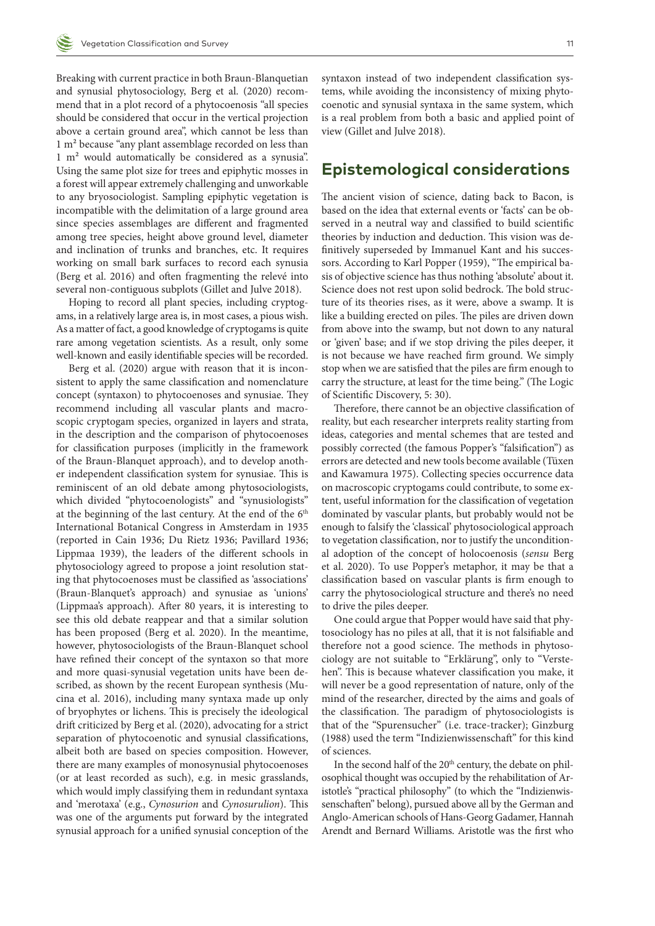Breaking with current practice in both Braun-Blanquetian and synusial phytosociology, Berg et al. (2020) recommend that in a plot record of a phytocoenosis "all species should be considered that occur in the vertical projection above a certain ground area", which cannot be less than 1 m² because "any plant assemblage recorded on less than 1 m² would automatically be considered as a synusia". Using the same plot size for trees and epiphytic mosses in a forest will appear extremely challenging and unworkable to any bryosociologist. Sampling epiphytic vegetation is incompatible with the delimitation of a large ground area since species assemblages are different and fragmented among tree species, height above ground level, diameter and inclination of trunks and branches, etc. It requires working on small bark surfaces to record each synusia (Berg et al. 2016) and often fragmenting the relevé into several non-contiguous subplots (Gillet and Julve 2018).

Hoping to record all plant species, including cryptogams, in a relatively large area is, in most cases, a pious wish. As a matter of fact, a good knowledge of cryptogams is quite rare among vegetation scientists. As a result, only some well-known and easily identifiable species will be recorded.

Berg et al. (2020) argue with reason that it is inconsistent to apply the same classification and nomenclature concept (syntaxon) to phytocoenoses and synusiae. They recommend including all vascular plants and macroscopic cryptogam species, organized in layers and strata, in the description and the comparison of phytocoenoses for classification purposes (implicitly in the framework of the Braun-Blanquet approach), and to develop another independent classification system for synusiae. This is reminiscent of an old debate among phytosociologists, which divided "phytocoenologists" and "synusiologists" at the beginning of the last century. At the end of the  $6<sup>th</sup>$ International Botanical Congress in Amsterdam in 1935 (reported in Cain 1936; Du Rietz 1936; Pavillard 1936; Lippmaa 1939), the leaders of the different schools in phytosociology agreed to propose a joint resolution stating that phytocoenoses must be classified as 'associations' (Braun-Blanquet's approach) and synusiae as 'unions' (Lippmaa's approach). After 80 years, it is interesting to see this old debate reappear and that a similar solution has been proposed (Berg et al. 2020). In the meantime, however, phytosociologists of the Braun-Blanquet school have refined their concept of the syntaxon so that more and more quasi-synusial vegetation units have been described, as shown by the recent European synthesis (Mucina et al. 2016), including many syntaxa made up only of bryophytes or lichens. This is precisely the ideological drift criticized by Berg et al. (2020), advocating for a strict separation of phytocoenotic and synusial classifications, albeit both are based on species composition. However, there are many examples of monosynusial phytocoenoses (or at least recorded as such), e.g. in mesic grasslands, which would imply classifying them in redundant syntaxa and 'merotaxa' (e.g., *Cynosurion* and *Cynosurulion*). This was one of the arguments put forward by the integrated synusial approach for a unified synusial conception of the

syntaxon instead of two independent classification systems, while avoiding the inconsistency of mixing phytocoenotic and synusial syntaxa in the same system, which is a real problem from both a basic and applied point of view (Gillet and Julve 2018).

#### **Epistemological considerations**

The ancient vision of science, dating back to Bacon, is based on the idea that external events or 'facts' can be observed in a neutral way and classified to build scientific theories by induction and deduction. This vision was definitively superseded by Immanuel Kant and his successors. According to Karl Popper (1959), "The empirical basis of objective science has thus nothing 'absolute' about it. Science does not rest upon solid bedrock. The bold structure of its theories rises, as it were, above a swamp. It is like a building erected on piles. The piles are driven down from above into the swamp, but not down to any natural or 'given' base; and if we stop driving the piles deeper, it is not because we have reached firm ground. We simply stop when we are satisfied that the piles are firm enough to carry the structure, at least for the time being." (The Logic of Scientific Discovery, 5: 30).

Therefore, there cannot be an objective classification of reality, but each researcher interprets reality starting from ideas, categories and mental schemes that are tested and possibly corrected (the famous Popper's "falsification") as errors are detected and new tools become available (Tüxen and Kawamura 1975). Collecting species occurrence data on macroscopic cryptogams could contribute, to some extent, useful information for the classification of vegetation dominated by vascular plants, but probably would not be enough to falsify the 'classical' phytosociological approach to vegetation classification, nor to justify the unconditional adoption of the concept of holocoenosis (*sensu* Berg et al. 2020). To use Popper's metaphor, it may be that a classification based on vascular plants is firm enough to carry the phytosociological structure and there's no need to drive the piles deeper.

One could argue that Popper would have said that phytosociology has no piles at all, that it is not falsifiable and therefore not a good science. The methods in phytosociology are not suitable to "Erklärung", only to "Verstehen". This is because whatever classification you make, it will never be a good representation of nature, only of the mind of the researcher, directed by the aims and goals of the classification. The paradigm of phytosociologists is that of the "Spurensucher" (i.e. trace-tracker); Ginzburg (1988) used the term "Indizienwissenschaft" for this kind of sciences.

In the second half of the 20<sup>th</sup> century, the debate on philosophical thought was occupied by the rehabilitation of Aristotle's "practical philosophy" (to which the "Indizienwissenschaften" belong), pursued above all by the German and Anglo-American schools of Hans-Georg Gadamer, Hannah Arendt and Bernard Williams. Aristotle was the first who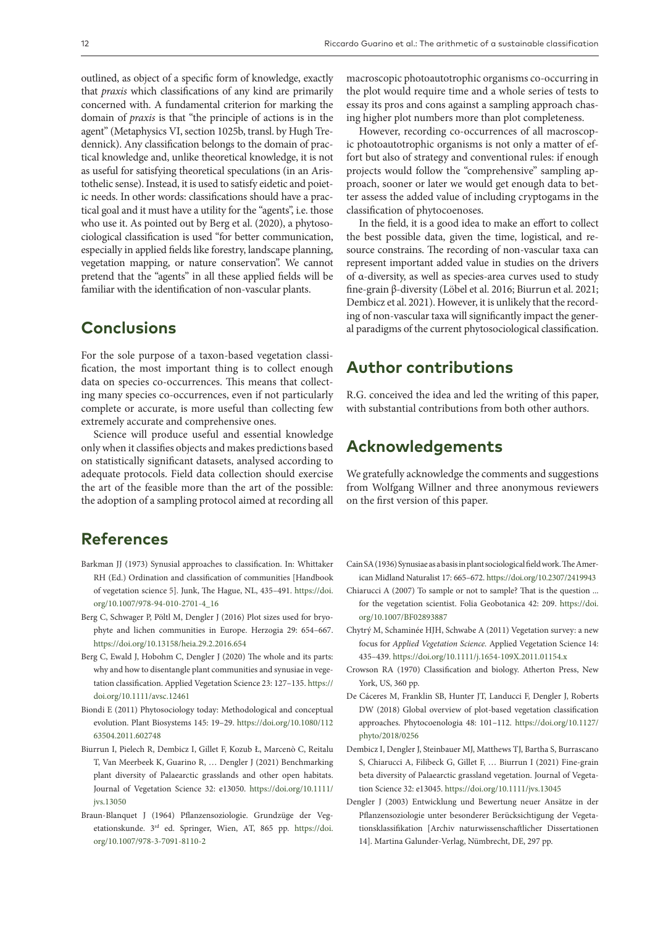outlined, as object of a specific form of knowledge, exactly that *praxis* which classifications of any kind are primarily concerned with. A fundamental criterion for marking the domain of *praxis* is that "the principle of actions is in the agent" (Metaphysics VI, section 1025b, transl. by Hugh Tredennick). Any classification belongs to the domain of practical knowledge and, unlike theoretical knowledge, it is not as useful for satisfying theoretical speculations (in an Aristothelic sense). Instead, it is used to satisfy eidetic and poietic needs. In other words: classifications should have a practical goal and it must have a utility for the "agents", i.e. those who use it. As pointed out by Berg et al. (2020), a phytosociological classification is used "for better communication, especially in applied fields like forestry, landscape planning, vegetation mapping, or nature conservation". We cannot pretend that the "agents" in all these applied fields will be familiar with the identification of non-vascular plants.

## **Conclusions**

For the sole purpose of a taxon-based vegetation classification, the most important thing is to collect enough data on species co-occurrences. This means that collecting many species co-occurrences, even if not particularly complete or accurate, is more useful than collecting few extremely accurate and comprehensive ones.

Science will produce useful and essential knowledge only when it classifies objects and makes predictions based on statistically significant datasets, analysed according to adequate protocols. Field data collection should exercise the art of the feasible more than the art of the possible: the adoption of a sampling protocol aimed at recording all

# **References**

- Barkman JJ (1973) Synusial approaches to classification. In: Whittaker RH (Ed.) Ordination and classification of communities [Handbook of vegetation science 5]. Junk, The Hague, NL, 435–491. [https://doi.](https://doi.org/10.1007/978-94-010-2701-4_16) [org/10.1007/978-94-010-2701-4\\_16](https://doi.org/10.1007/978-94-010-2701-4_16)
- Berg C, Schwager P, Pöltl M, Dengler J (2016) Plot sizes used for bryophyte and lichen communities in Europe. Herzogia 29: 654–667. <https://doi.org/10.13158/heia.29.2.2016.654>
- Berg C, Ewald J, Hobohm C, Dengler J (2020) The whole and its parts: why and how to disentangle plant communities and synusiae in vegetation classification. Applied Vegetation Science 23: 127–135. [https://](https://doi.org/10.1111/avsc.12461) [doi.org/10.1111/avsc.12461](https://doi.org/10.1111/avsc.12461)
- Biondi E (2011) Phytosociology today: Methodological and conceptual evolution. Plant Biosystems 145: 19–29. [https://doi.org/10.1080/112](https://doi.org/10.1080/11263504.2011.602748) [63504.2011.602748](https://doi.org/10.1080/11263504.2011.602748)
- Biurrun I, Pielech R, Dembicz I, Gillet F, Kozub Ł, Marcenò C, Reitalu T, Van Meerbeek K, Guarino R, … Dengler J (2021) Benchmarking plant diversity of Palaearctic grasslands and other open habitats. Journal of Vegetation Science 32: e13050. [https://doi.org/10.1111/](https://doi.org/10.1111/jvs.13050) [jvs.13050](https://doi.org/10.1111/jvs.13050)
- Braun-Blanquet J (1964) Pflanzensoziologie. Grundzüge der Vegetationskunde. 3rd ed. Springer, Wien, AT, 865 pp. [https://doi.](https://doi.org/10.1007/978-3-7091-8110-2) [org/10.1007/978-3-7091-8110-2](https://doi.org/10.1007/978-3-7091-8110-2)

macroscopic photoautotrophic organisms co-occurring in the plot would require time and a whole series of tests to essay its pros and cons against a sampling approach chasing higher plot numbers more than plot completeness.

However, recording co-occurrences of all macroscopic photoautotrophic organisms is not only a matter of effort but also of strategy and conventional rules: if enough projects would follow the "comprehensive" sampling approach, sooner or later we would get enough data to better assess the added value of including cryptogams in the classification of phytocoenoses.

In the field, it is a good idea to make an effort to collect the best possible data, given the time, logistical, and resource constrains. The recording of non-vascular taxa can represent important added value in studies on the drivers of α-diversity, as well as species-area curves used to study fine-grain β-diversity (Löbel et al. 2016; Biurrun et al. 2021; Dembicz et al. 2021). However, it is unlikely that the recording of non-vascular taxa will significantly impact the general paradigms of the current phytosociological classification.

## **Author contributions**

R.G. conceived the idea and led the writing of this paper, with substantial contributions from both other authors.

## **Acknowledgements**

We gratefully acknowledge the comments and suggestions from Wolfgang Willner and three anonymous reviewers on the first version of this paper.

- Cain SA (1936) Synusiae as a basis in plant sociological field work. The American Midland Naturalist 17: 665–672.<https://doi.org/10.2307/2419943>
- Chiarucci A (2007) To sample or not to sample? That is the question ... for the vegetation scientist. Folia Geobotanica 42: 209. [https://doi.](https://doi.org/10.1007/BF02893887) [org/10.1007/BF02893887](https://doi.org/10.1007/BF02893887)
- Chytrý M, Schaminée HJH, Schwabe A (2011) Vegetation survey: a new focus for *Applied Vegetation Science.* Applied Vegetation Science 14: 435–439.<https://doi.org/10.1111/j.1654-109X.2011.01154.x>
- Crowson RA (1970) Classification and biology. Atherton Press, New York, US, 360 pp.
- De Cáceres M, Franklin SB, Hunter JT, Landucci F, Dengler J, Roberts DW (2018) Global overview of plot-based vegetation classification approaches. Phytocoenologia 48: 101–112. [https://doi.org/10.1127/](https://doi.org/10.1127/phyto/2018/0256) [phyto/2018/0256](https://doi.org/10.1127/phyto/2018/0256)
- Dembicz I, Dengler J, Steinbauer MJ, Matthews TJ, Bartha S, Burrascano S, Chiarucci A, Filibeck G, Gillet F, … Biurrun I (2021) Fine-grain beta diversity of Palaearctic grassland vegetation. Journal of Vegetation Science 32: e13045.<https://doi.org/10.1111/jvs.13045>
- Dengler J (2003) Entwicklung und Bewertung neuer Ansätze in der Pflanzensoziologie unter besonderer Berücksichtigung der Vegetationsklassifikation [Archiv naturwissenschaftlicher Dissertationen 14]. Martina Galunder-Verlag, Nümbrecht, DE, 297 pp.